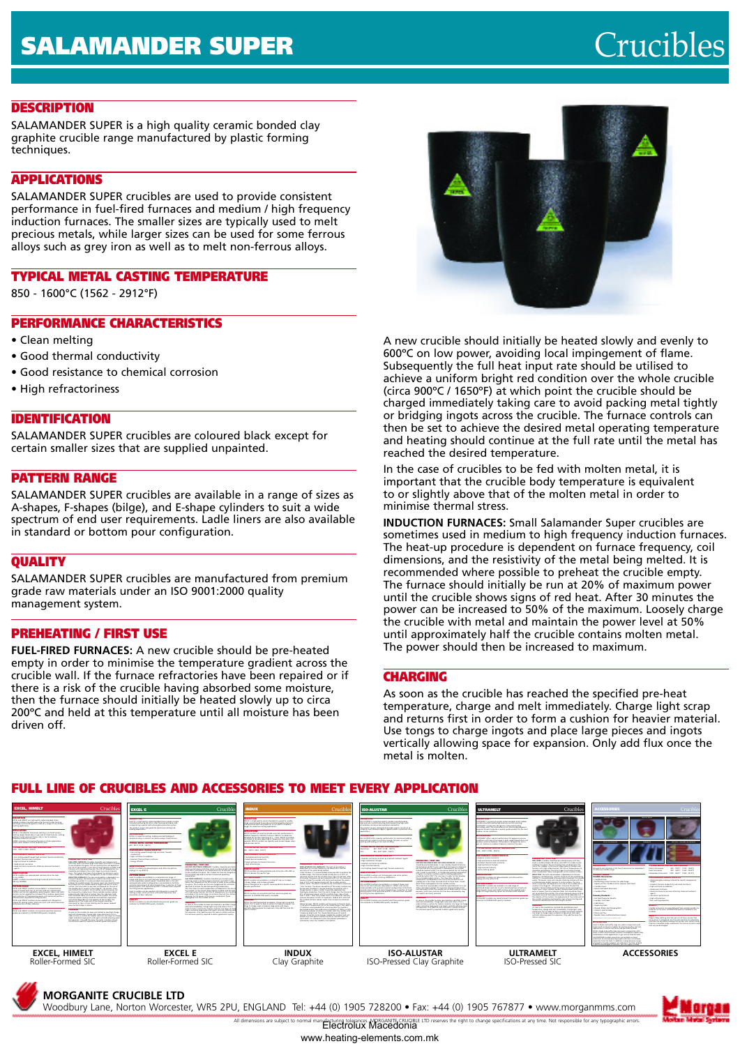# **DESCRIPTION**

SALAMANDER SUPER is a high quality ceramic bonded clay graphite crucible range manufactured by plastic forming techniques.

# **APPLICATIONS**

SALAMANDER SUPER crucibles are used to provide consistent performance in fuel-fired furnaces and medium / high frequency induction furnaces. The smaller sizes are typically used to melt precious metals, while larger sizes can be used for some ferrous alloys such as grey iron as well as to melt non-ferrous alloys.

# **TYPICAL METAL CASTING TEMPERATURE**

850 - 1600°C (1562 - 2912°F)

# **PERFORMANCE CHARACTERISTICS**

- Clean melting
- Good thermal conductivity
- Good resistance to chemical corrosion
- High refractoriness

## **IDENTIFICATION**

SALAMANDER SUPER crucibles are coloured black except for certain smaller sizes that are supplied unpainted.

#### **PATTERN RANGE**

SALAMANDER SUPER crucibles are available in a range of sizes as A-shapes, F-shapes (bilge), and E-shape cylinders to suit a wide spectrum of end user requirements. Ladle liners are also available in standard or bottom pour configuration.

## **QUALITY**

SALAMANDER SUPER crucibles are manufactured from premium grade raw materials under an ISO 9001:2000 quality management system.

## **PREHEATING / FIRST USE**

**FUEL-FIRED FURNACES:** A new crucible should be pre-heated empty in order to minimise the temperature gradient across the crucible wall. If the furnace refractories have been repaired or if there is a risk of the crucible having absorbed some moisture, then the furnace should initially be heated slowly up to circa 200ºC and held at this temperature until all moisture has been driven off.



A new crucible should initially be heated slowly and evenly to 600ºC on low power, avoiding local impingement of flame. Subsequently the full heat input rate should be utilised to achieve a uniform bright red condition over the whole crucible (circa 900ºC / 1650ºF) at which point the crucible should be charged immediately taking care to avoid packing metal tightly or bridging ingots across the crucible. The furnace controls can then be set to achieve the desired metal operating temperature and heating should continue at the full rate until the metal has reached the desired temperature.

In the case of crucibles to be fed with molten metal, it is important that the crucible body temperature is equivalent to or slightly above that of the molten metal in order to minimise thermal stress.

**INDUCTION FURNACES:** Small Salamander Super crucibles are sometimes used in medium to high frequency induction furnaces. The heat-up procedure is dependent on furnace frequency, coil dimensions, and the resistivity of the metal being melted. It is recommended where possible to preheat the crucible empty. The furnace should initially be run at 20% of maximum power until the crucible shows signs of red heat. After 30 minutes the power can be increased to 50% of the maximum. Loosely charge the crucible with metal and maintain the power level at 50% until approximately half the crucible contains molten metal. The power should then be increased to maximum.

# **CHARGING**

As soon as the crucible has reached the specified pre-heat temperature, charge and melt immediately. Charge light scrap and returns first in order to form a cushion for heavier material. Use tongs to charge ingots and place large pieces and ingots vertically allowing space for expansion. Only add flux once the metal is molten.

# **FULL LINE OF CRUCIBLES AND ACCESSORIES TO MEET EVERY APPLICATION**



**MORGANITE CRUCIBLE LTD**

Woodbury Lane, Norton Worcester, WR5 2PU, ENGLAND Tel: +44 (0) 1905 728200 • Fax: +44 (0) 1905 767877 • www.morganmms.com

All dimensions are subject to normal manufacturing tolerances. MORGANITE CRUCIBLE LTD reserves the right to change specifications at any time. Not responsible for any typographic errors.<br>**ELECTIOIUX MACCOONIA** www.heating-elements.com.mk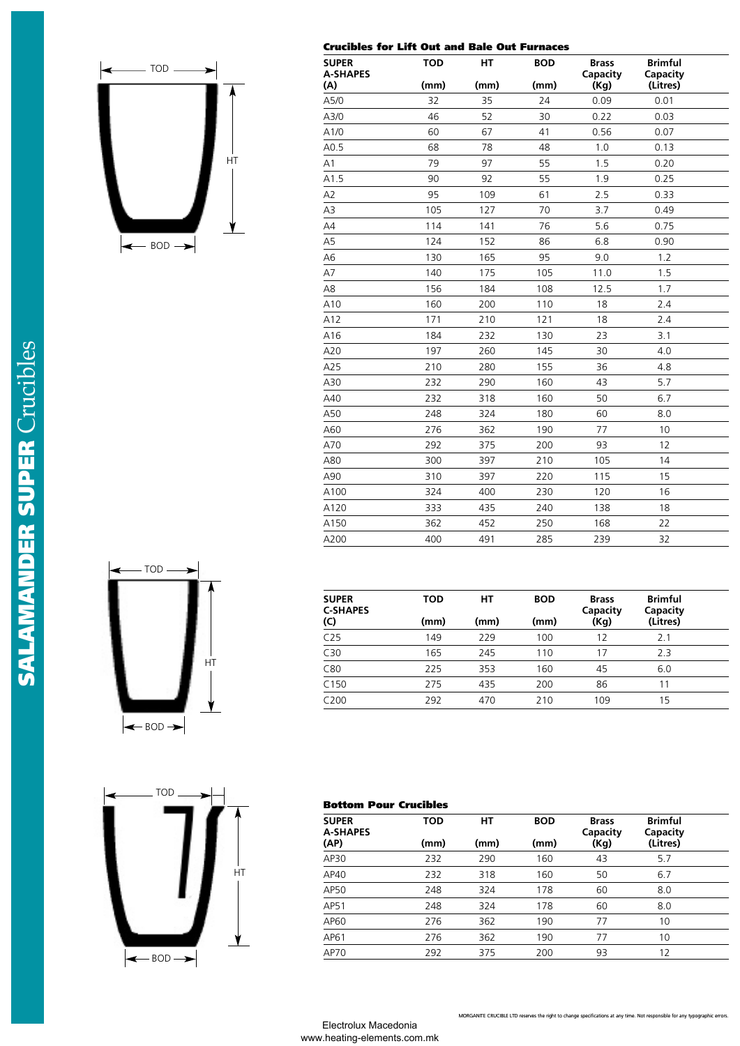

| <b>SUPER</b><br><b>A-SHAPES</b> | <b>TOD</b> | НT   | <b>BOD</b> | <b>Brass</b><br>Capacity | <b>Brimful</b><br>Capacity |  |
|---------------------------------|------------|------|------------|--------------------------|----------------------------|--|
| (A)                             | (mm)       | (mm) | (mm)       | (Kg)                     | (Litres)                   |  |
| A5/0                            | 32         | 35   | 24         | 0.09                     | 0.01                       |  |
| A3/0                            | 46         | 52   | 30         | 0.22                     | 0.03                       |  |
| A1/0                            | 60         | 67   | 41         | 0.56                     | 0.07                       |  |
| A0.5                            | 68         | 78   | 48         | 1.0                      | 0.13                       |  |
| A1                              | 79         | 97   | 55         | 1.5                      | 0.20                       |  |
| A1.5                            | 90         | 92   | 55         | 1.9                      | 0.25                       |  |
| A <sub>2</sub>                  | 95         | 109  | 61         | 2.5                      | 0.33                       |  |
| A3                              | 105        | 127  | 70         | 3.7                      | 0.49                       |  |
| A4                              | 114        | 141  | 76         | 5.6                      | 0.75                       |  |
| A <sub>5</sub>                  | 124        | 152  | 86         | 6.8                      | 0.90                       |  |
| A6                              | 130        | 165  | 95         | 9.0                      | 1.2                        |  |
| A7                              | 140        | 175  | 105        | 11.0                     | 1.5                        |  |
| A8                              | 156        | 184  | 108        | 12.5                     | 1.7                        |  |
| A10                             | 160        | 200  | 110        | 18                       | 2.4                        |  |
| A12                             | 171        | 210  | 121        | 18                       | 2.4                        |  |
| A16                             | 184        | 232  | 130        | 23                       | 3.1                        |  |
| A20                             | 197        | 260  | 145        | 30                       | 4.0                        |  |
| A25                             | 210        | 280  | 155        | 36                       | 4.8                        |  |
| A30                             | 232        | 290  | 160        | 43                       | 5.7                        |  |
| A40                             | 232        | 318  | 160        | 50                       | 6.7                        |  |
| A50                             | 248        | 324  | 180        | 60                       | 8.0                        |  |
| A60                             | 276        | 362  | 190        | 77                       | 10                         |  |
| A70                             | 292        | 375  | 200        | 93                       | 12                         |  |
| A80                             | 300        | 397  | 210        | 105                      | 14                         |  |
| A90                             | 310        | 397  | 220        | 115                      | 15                         |  |
| A100                            | 324        | 400  | 230        | 120                      | 16                         |  |
| A120                            | 333        | 435  | 240        | 138                      | 18                         |  |
| A150                            | 362        | 452  | 250        | 168                      | 22                         |  |
| A200                            | 400        | 491  | 285        | 239                      | 32                         |  |

**Crucibles for Lift Out and Bale Out Furnaces**





| <b>SUPER</b><br><b>C-SHAPES</b><br>(C) | TOD<br>(mm) | HТ<br>(mm) | <b>BOD</b><br>(mm) | <b>Brass</b><br>Capacity<br>(Kg) | <b>Brimful</b><br>Capacity<br>(Litres) |  |
|----------------------------------------|-------------|------------|--------------------|----------------------------------|----------------------------------------|--|
| C <sub>25</sub>                        | 149         | 229        | 100                | 12                               | 2.1                                    |  |
| C30                                    | 165         | 245        | 110                | 17                               | 2.3                                    |  |
| C80                                    | 225         | 353        | 160                | 45                               | 6.0                                    |  |
| C150                                   | 275         | 435        | 200                | 86                               | 11                                     |  |
| C <sub>200</sub>                       | 292         | 470        | 210                | 109                              | 15                                     |  |

# **Bottom Pour Crucibles**

| <b>SUPER</b><br><b>A-SHAPES</b> | <b>TOD</b> | HТ   | <b>BOD</b> | <b>Brass</b><br>Capacity | <b>Brimful</b><br>Capacity |  |
|---------------------------------|------------|------|------------|--------------------------|----------------------------|--|
| (AP)                            | (mm)       | (mm) | (mm)       | (Kg)                     | (Litres)                   |  |
| AP30                            | 232        | 290  | 160        | 43                       | 5.7                        |  |
| AP40                            | 232        | 318  | 160        | 50                       | 6.7                        |  |
| AP50                            | 248        | 324  | 178        | 60                       | 8.0                        |  |
| AP51                            | 248        | 324  | 178        | 60                       | 8.0                        |  |
| AP60                            | 276        | 362  | 190        | 77                       | 10                         |  |
| AP61                            | 276        | 362  | 190        | 77                       | 10                         |  |
| AP70                            | 292        | 375  | 200        | 93                       | 12                         |  |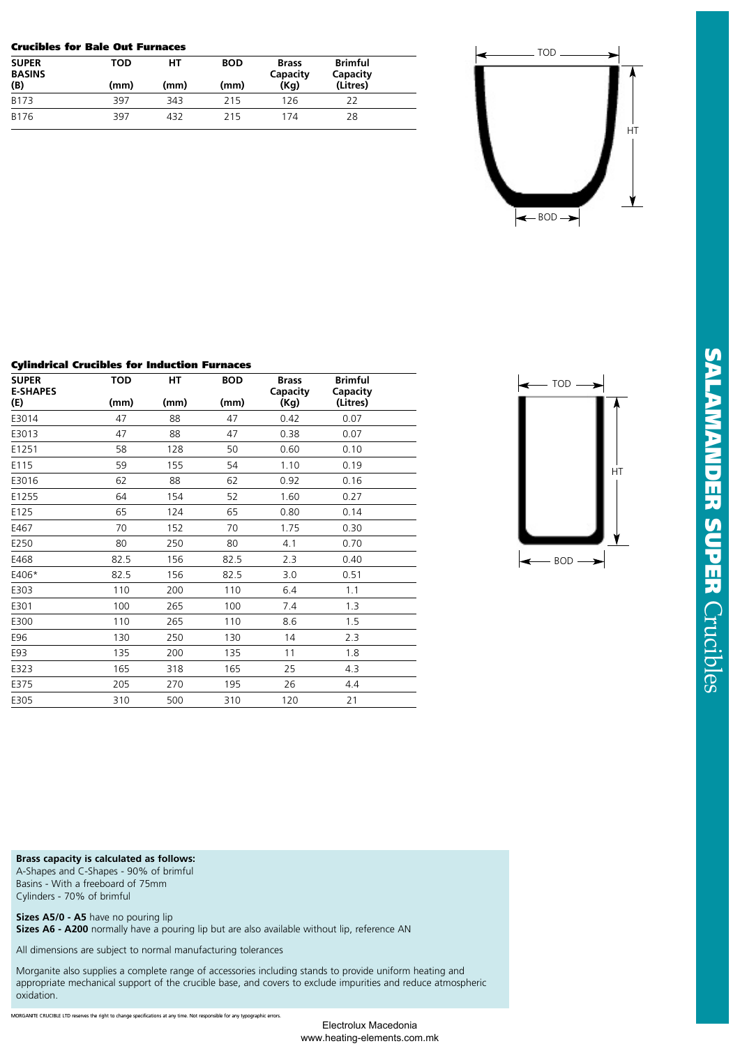#### **Crucibles for Bale Out Furnaces**

| <b>SUPER</b><br><b>BASINS</b> | TOD  | HТ   | <b>BOD</b> | <b>Brass</b><br>Capacity | <b>Brimful</b><br>Capacity |  |
|-------------------------------|------|------|------------|--------------------------|----------------------------|--|
| (B)                           | (mm) | (mm) | (mm)       | (Kq)                     | (Litres)                   |  |
| B173                          | 397  | 343  | 215        | 126                      | 22                         |  |
| B176                          | 397  | 432  | 215        | 174                      | 28                         |  |



### **Cylindrical Crucibles for Induction Furnaces**

| <b>TOD</b> | HТ   | <b>BOD</b> | <b>Brass</b> | <b>Brimful</b><br>Capacity |  |
|------------|------|------------|--------------|----------------------------|--|
| (mm)       | (mm) | (mm)       | (Kg)         | (Litres)                   |  |
| 47         | 88   | 47         | 0.42         | 0.07                       |  |
| 47         | 88   | 47         | 0.38         | 0.07                       |  |
| 58         | 128  | 50         | 0.60         | 0.10                       |  |
| 59         | 155  | 54         | 1.10         | 0.19                       |  |
| 62         | 88   | 62         | 0.92         | 0.16                       |  |
| 64         | 154  | 52         | 1.60         | 0.27                       |  |
| 65         | 124  | 65         | 0.80         | 0.14                       |  |
| 70         | 152  | 70         | 1.75         | 0.30                       |  |
| 80         | 250  | 80         | 4.1          | 0.70                       |  |
| 82.5       | 156  | 82.5       | 2.3          | 0.40                       |  |
| 82.5       | 156  | 82.5       | 3.0          | 0.51                       |  |
| 110        | 200  | 110        | 6.4          | 1.1                        |  |
| 100        | 265  | 100        | 7.4          | 1.3                        |  |
| 110        | 265  | 110        | 8.6          | 1.5                        |  |
| 130        | 250  | 130        | 14           | 2.3                        |  |
| 135        | 200  | 135        | 11           | 1.8                        |  |
| 165        | 318  | 165        | 25           | 4.3                        |  |
| 205        | 270  | 195        | 26           | 4.4                        |  |
| 310        | 500  | 310        | 120          | 21                         |  |
|            |      |            |              | <b>Capacity</b>            |  |



**Brass capacity is calculated as follows:**

A-Shapes and C-Shapes - 90% of brimful Basins - With a freeboard of 75mm Cylinders - 70% of brimful

**Sizes A5/0 - A5** have no pouring lip

**Sizes A6 - A200** normally have a pouring lip but are also available without lip, reference AN

All dimensions are subject to normal manufacturing tolerances

Morganite also supplies a complete range of accessories including stands to provide uniform heating and appropriate mechanical support of the crucible base, and covers to exclude impurities and reduce atmospheric oxidation.

MORGANITE CRUCIBLE LTD reserves the right to change specifications at any time. Not responsible for any typographic errors.